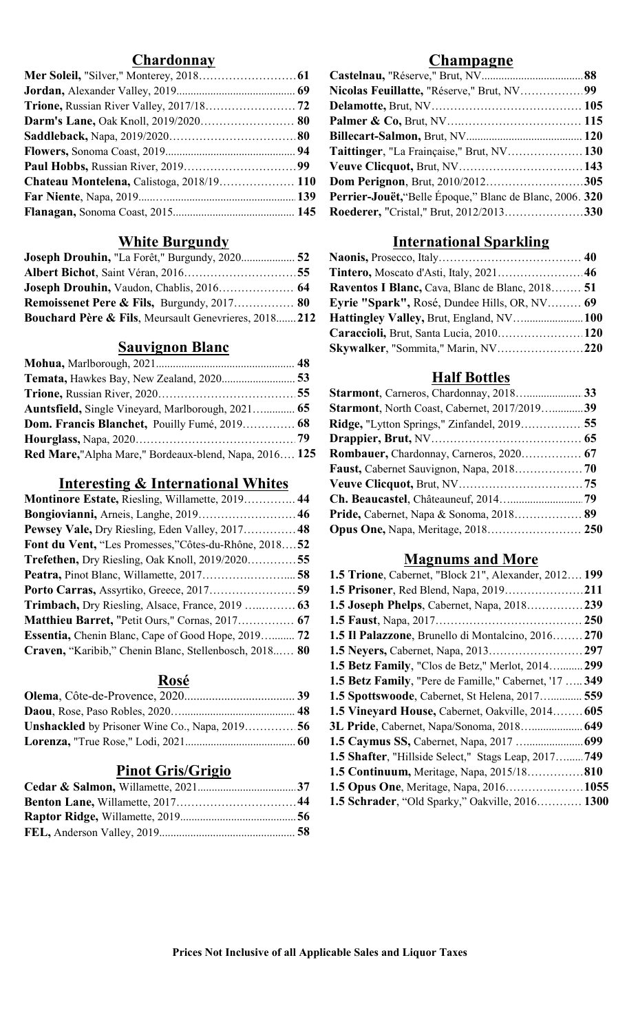## Chardonnay Champagne

| Chateau Montelena, Calistoga, 2018/19 110 Dom Perignon, Brut, 2010/2012305 |  |
|----------------------------------------------------------------------------|--|
|                                                                            |  |
|                                                                            |  |

### White Burgundy

| Joseph Drouhin, Vaudon, Chablis, 2016 64 Raventos I Blanc, Cava, Blanc de Blanc, 2018 51                  |  |
|-----------------------------------------------------------------------------------------------------------|--|
| <b>Remoissenet Pere &amp; Fils, Burgundy, 2017 80 Eyrie "Spark", Rosé, Dundee Hills, OR, NV 69</b>        |  |
| <b>Bouchard Père &amp; Fils, Meursault Genevrieres, 2018 212 Hattingley Valley, Brut, England, NV 100</b> |  |

# Sauvignon Blanc

|                                                                                                               | <b>Half Bottles</b>                                |  |
|---------------------------------------------------------------------------------------------------------------|----------------------------------------------------|--|
|                                                                                                               |                                                    |  |
| <b>Auntsfield, Single Vineyard, Marlborough, 2021 65</b>                                                      | Starmont, North Coast, Cabernet, 2017/2019 39      |  |
|                                                                                                               | <b>Ridge, "Lytton Springs," Zinfandel, 2019 55</b> |  |
|                                                                                                               |                                                    |  |
| <b>Red Mare,</b> "Alpha Mare," Bordeaux-blend, Napa, 2016 125 <b>Rombauer</b> , Chardonnay, Carneros, 2020 67 |                                                    |  |

# Interesting & International Whites

| <b>Montinore Estate, Riesling, Willamette, 2019 44</b>    |                                                              |
|-----------------------------------------------------------|--------------------------------------------------------------|
| Bongiovianni, Arneis, Langhe, 2019 46                     | Pride, Cabernet, Napa & Sonoma, 2018 89                      |
| Pewsey Vale, Dry Riesling, Eden Valley, 2017 48           |                                                              |
| Font du Vent, "Les Promesses,"Côtes-du-Rhône, 201852      |                                                              |
| <b>Trefethen, Dry Riesling, Oak Knoll, 2019/202055</b>    | <b>Magnums and More</b>                                      |
|                                                           | <b>1.5 Trione, Cabernet, "Block 21", Alexander, 2012 199</b> |
| Porto Carras, Assyrtiko, Greece, 2017 59                  |                                                              |
| <b>Trimbach, Dry Riesling, Alsace, France, 2019</b> 63    | <b>1.5 Joseph Phelps, Cabernet, Napa, 2018239</b>            |
|                                                           |                                                              |
| <b>Essentia, Chenin Blanc, Cape of Good Hope, 2019 72</b> | <b>1.5 Il Palazzone</b> , Brunello di Montalcino, 2016 270   |
| Craven, "Karibib," Chenin Blanc, Stellenbosch, 2018 80    |                                                              |

## Rosé

| 1.5 Spottswoode, Cabernet, St Helena, 2017 559 |
|------------------------------------------------|
|                                                |
|                                                |
|                                                |

# Pinot Gris/Grigio

| <b>Chateau Montelena, Calistoga, 2018/19 110 Dom Perignon, Brut, 2010/2012305</b> |  |
|-----------------------------------------------------------------------------------|--|
|                                                                                   |  |
|                                                                                   |  |
|                                                                                   |  |

### International Sparkling

| Joseph Drouhin, Vaudon, Chablis, 2016 64 Raventos I Blanc, Cava, Blanc de Blanc, 2018 51 |                                              |  |
|------------------------------------------------------------------------------------------|----------------------------------------------|--|
| <b>Remoissenet Pere &amp; Fils, Burgundy, 2017 80</b>                                    | Eyrie "Spark", Rosé, Dundee Hills, OR, NV 69 |  |
| <b>Bouchard Père &amp; Fils</b> , Meursault Genevrieres, 2018 212                        |                                              |  |
|                                                                                          | Caraccioli, Brut, Santa Lucia, 2010 120      |  |
| <b>Sauvignon Blanc</b>                                                                   |                                              |  |

### Half Bottles

| <b>Starmont</b> , North Coast, Cabernet, 2017/2019 39                                         |  |
|-----------------------------------------------------------------------------------------------|--|
| Ridge, "Lytton Springs," Zinfandel, 2019 55                                                   |  |
|                                                                                               |  |
| Red Mare,"Alpha Mare," Bordeaux-blend, Napa, 2016 125 Rombauer, Chardonnay, Carneros, 2020 67 |  |
|                                                                                               |  |
|                                                                                               |  |
|                                                                                               |  |
|                                                                                               |  |
|                                                                                               |  |
|                                                                                               |  |

## Magnums and More

| 1.5 Trione, Cabernet, "Block 21", Alexander, 2012 199  |  |
|--------------------------------------------------------|--|
|                                                        |  |
| 1.5 Joseph Phelps, Cabernet, Napa, 2018239             |  |
|                                                        |  |
| 1.5 Il Palazzone, Brunello di Montalcino, 2016 270     |  |
|                                                        |  |
| 1.5 Betz Family, "Clos de Betz," Merlot, 2014 299      |  |
| 1.5 Betz Family, "Pere de Famille," Cabernet, '17  349 |  |
| 1.5 Spottswoode, Cabernet, St Helena, 2017 559         |  |
| 1.5 Vineyard House, Cabernet, Oakville, 2014 605       |  |
| 3L Pride, Cabernet, Napa/Sonoma, 2018 649              |  |
|                                                        |  |
| 1.5 Shafter, "Hillside Select," Stags Leap, 2017 749   |  |
| <b>1.5 Continuum, Meritage, Napa, 2015/18 810</b>      |  |
| <b>1.5 Opus One, Meritage, Napa, 2016 1055</b>         |  |
| <b>1.5 Schrader, "Old Sparky," Oakville, 2016 1300</b> |  |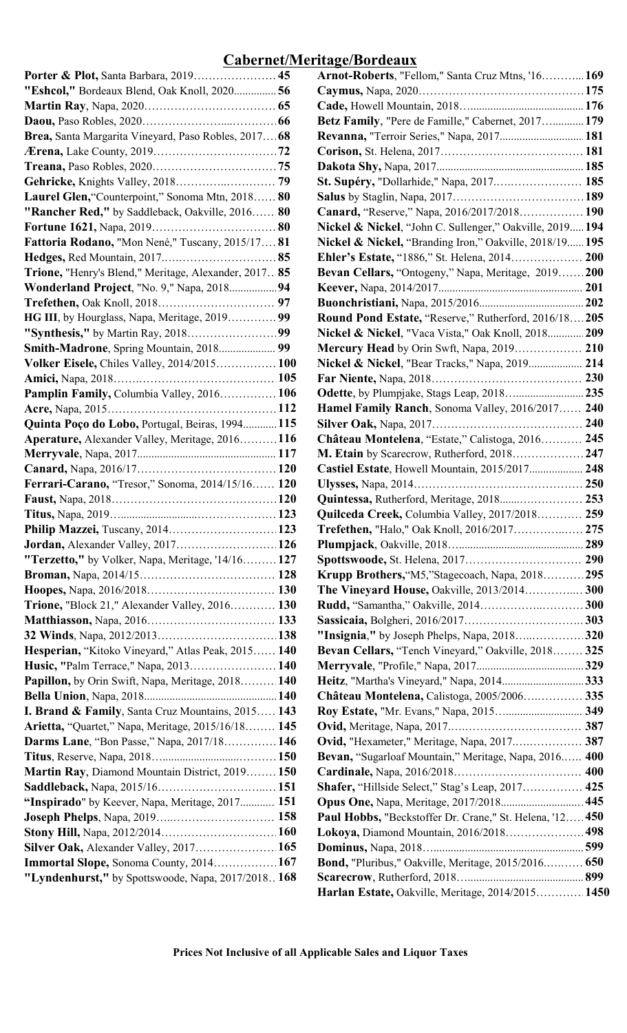# Cabernet/Meritage/Bordeaux

| "Eshcol," Bordeaux Blend, Oak Knoll, 2020 56                                                |  |
|---------------------------------------------------------------------------------------------|--|
|                                                                                             |  |
|                                                                                             |  |
| Brea, Santa Margarita Vineyard, Paso Robles, 2017 68                                        |  |
|                                                                                             |  |
|                                                                                             |  |
|                                                                                             |  |
| Laurel Glen, "Counterpoint," Sonoma Mtn, 2018 80                                            |  |
| "Rancher Red," by Saddleback, Oakville, 2016 80                                             |  |
|                                                                                             |  |
| Fattoria Rodano, "Mon Nené," Tuscany, 2015/17 81                                            |  |
|                                                                                             |  |
| Trione, "Henry's Blend," Meritage, Alexander, 2017 85                                       |  |
| <b>Wonderland Project, "No. 9," Napa, 2018 94</b>                                           |  |
|                                                                                             |  |
| HG III, by Hourglass, Napa, Meritage, 2019 99                                               |  |
|                                                                                             |  |
| Smith-Madrone, Spring Mountain, 2018 99                                                     |  |
| Volker Eisele, Chiles Valley, 2014/2015 100                                                 |  |
|                                                                                             |  |
| Pamplin Family, Columbia Valley, 2016 106                                                   |  |
|                                                                                             |  |
| Quinta Poço do Lobo, Portugal, Beiras, 1994 115                                             |  |
| <b>Aperature, Alexander Valley, Meritage, 2016116</b>                                       |  |
|                                                                                             |  |
|                                                                                             |  |
| Ferrari-Carano, "Tresor," Sonoma, 2014/15/16 120                                            |  |
|                                                                                             |  |
|                                                                                             |  |
| Philip Mazzei, Tuscany, 2014 123                                                            |  |
| <b>Jordan, Alexander Valley, 2017 126</b>                                                   |  |
| "Terzetto," by Volker, Napa, Meritage, '14/16 127                                           |  |
|                                                                                             |  |
|                                                                                             |  |
| <b>Trione, "Block 21," Alexander Valley, 2016 130</b>                                       |  |
|                                                                                             |  |
|                                                                                             |  |
| Hesperian, "Kitoko Vineyard," Atlas Peak, 2015 140<br>Husic, "Palm Terrace," Napa, 2013 140 |  |
| Papillon, by Orin Swift, Napa, Meritage, 2018 140                                           |  |
|                                                                                             |  |
| I. Brand & Family, Santa Cruz Mountains, 2015 143                                           |  |
| Arietta, "Quartet," Napa, Meritage, 2015/16/18 145                                          |  |
| <b>Darms Lane, "Bon Passe," Napa, 2017/18 146</b>                                           |  |
|                                                                                             |  |
| Martin Ray, Diamond Mountain District, 2019 150                                             |  |
|                                                                                             |  |
| "Inspirado" by Keever, Napa, Meritage, 2017 151                                             |  |
|                                                                                             |  |
|                                                                                             |  |
| <b>Silver Oak, Alexander Valley, 2017 165</b>                                               |  |
| Immortal Slope, Sonoma County, 2014 167                                                     |  |
| "Lyndenhurst," by Spottswoode, Napa, 2017/2018 168                                          |  |
|                                                                                             |  |

|                                                              | <b>Arnot-Roberts, "Fellom," Santa Cruz Mtns, '16 169</b>           |       |
|--------------------------------------------------------------|--------------------------------------------------------------------|-------|
| "Eshcol," Bordeaux Blend, Oak Knoll, 2020 56                 |                                                                    |       |
|                                                              |                                                                    |       |
|                                                              | Betz Family, "Pere de Famille," Cabernet, 2017 179                 |       |
| Brea, Santa Margarita Vineyard, Paso Robles, 2017 68         | Revanna, "Terroir Series," Napa, 2017 181                          |       |
|                                                              |                                                                    |       |
|                                                              |                                                                    |       |
|                                                              | St. Supéry, "Dollarhide," Napa, 2017 185                           |       |
| Laurel Glen, "Counterpoint," Sonoma Mtn, 2018 80             |                                                                    |       |
| "Rancher Red," by Saddleback, Oakville, 2016 80              | <b>Canard, "Reserve," Napa, 2016/2017/2018 190</b>                 |       |
|                                                              | Nickel & Nickel, "John C. Sullenger," Oakville, 2019 194           |       |
| <b>Fattoria Rodano, "Mon Nené," Tuscany, 2015/17 81</b>      | <b>Nickel &amp; Nickel, "Branding Iron," Oakville, 2018/19 195</b> |       |
|                                                              | <b>Ehler's Estate, "1886," St. Helena, 2014 200</b>                |       |
| Trione, "Henry's Blend," Meritage, Alexander, 2017 85        | Bevan Cellars, "Ontogeny," Napa, Meritage, 2019200                 |       |
| <b>Wonderland Project, "No. 9," Napa, 2018 94</b>            |                                                                    |       |
|                                                              |                                                                    |       |
| <b>HG III</b> , by Hourglass, Napa, Meritage, 2019 99        | Round Pond Estate, "Reserve," Rutherford, 2016/18205               |       |
|                                                              |                                                                    |       |
|                                                              | Nickel & Nickel, "Vaca Vista," Oak Knoll, 2018 209                 |       |
| Smith-Madrone, Spring Mountain, 2018 99                      | Mercury Head by Orin Swft, Napa, 2019                              | . 210 |
| <b>Volker Eisele, Chiles Valley, 2014/2015 100</b>           | Nickel & Nickel, "Bear Tracks," Napa, 2019 214                     |       |
|                                                              |                                                                    |       |
| Pamplin Family, Columbia Valley, 2016 106                    |                                                                    |       |
|                                                              | <b>Hamel Family Ranch</b> , Sonoma Valley, 2016/2017 240           |       |
| Quinta Poço do Lobo, Portugal, Beiras, 1994 115              |                                                                    |       |
| <b>Aperature,</b> Alexander Valley, Meritage, 2016116        | Château Montelena, "Estate," Calistoga, 2016 245                   |       |
|                                                              |                                                                    |       |
|                                                              | Castiel Estate, Howell Mountain, 2015/2017 248                     |       |
| Ferrari-Carano, "Tresor," Sonoma, 2014/15/16 120             |                                                                    |       |
|                                                              | Quintessa, Rutherford, Meritage, 2018 253                          |       |
|                                                              | Quilceda Creek, Columbia Valley, 2017/2018 259                     |       |
| <b>Philip Mazzei,</b> Tuscany, 2014 123                      | Trefethen, "Halo," Oak Knoll, 2016/2017 275                        |       |
|                                                              |                                                                    |       |
| "Terzetto," by Volker, Napa, Meritage, '14/16 127            |                                                                    |       |
|                                                              | Krupp Brothers, "M5,"Stagecoach, Napa, 2018295                     |       |
|                                                              | The Vineyard House, Oakville, 2013/2014 300                        |       |
| Trione, "Block 21," Alexander Valley, 2016 130               | <b>Rudd, "Samantha," Oakville, 2014300</b>                         |       |
|                                                              |                                                                    |       |
|                                                              | "Insignia," by Joseph Phelps, Napa, 2018320                        |       |
| Hesperian, "Kitoko Vineyard," Atlas Peak, 2015 140           | Bevan Cellars, "Tench Vineyard," Oakville, 2018 325                |       |
| Husic, "Palm Terrace," Napa, 2013 140                        |                                                                    |       |
| Papillon, by Orin Swift, Napa, Meritage, 2018 140            | Heitz, "Martha's Vineyard," Napa, 2014333                          |       |
|                                                              | Château Montelena, Calistoga, 2005/2006 335                        |       |
| <b>I. Brand &amp; Family, Santa Cruz Mountains, 2015 143</b> | Roy Estate, "Mr. Evans," Napa, 2015 349                            |       |
| Arietta, "Quartet," Napa, Meritage, 2015/16/18 145           |                                                                    |       |
| <b>Darms Lane</b> , "Bon Passe," Napa, 2017/18 146           | Ovid, "Hexameter," Meritage, Napa, 2017 387                        |       |
|                                                              |                                                                    |       |
|                                                              | Bevan, "Sugarloaf Mountain," Meritage, Napa, 2016 400              |       |
| Martin Ray, Diamond Mountain District, 2019 150              |                                                                    |       |
|                                                              | <b>Shafer, "Hillside Select," Stag's Leap, 2017 425</b>            |       |
| "Inspirado" by Keever, Napa, Meritage, 2017 151              | Opus One, Napa, Meritage, 2017/2018 445                            |       |
|                                                              | Paul Hobbs, "Beckstoffer Dr. Crane," St. Helena, '12 450           |       |
|                                                              | Lokoya, Diamond Mountain, 2016/2018 498                            |       |
| Silver Oak, Alexander Valley, 2017 165                       |                                                                    |       |
| Immortal Slope, Sonoma County, 2014 167                      | Bond, "Pluribus," Oakville, Meritage, 2015/2016 650                |       |
| "Lyndenhurst," by Spottswoode, Napa, 2017/2018 168           |                                                                    |       |
|                                                              | Harlan Estate, Oakville, Meritage, 2014/2015 1450                  |       |
|                                                              |                                                                    |       |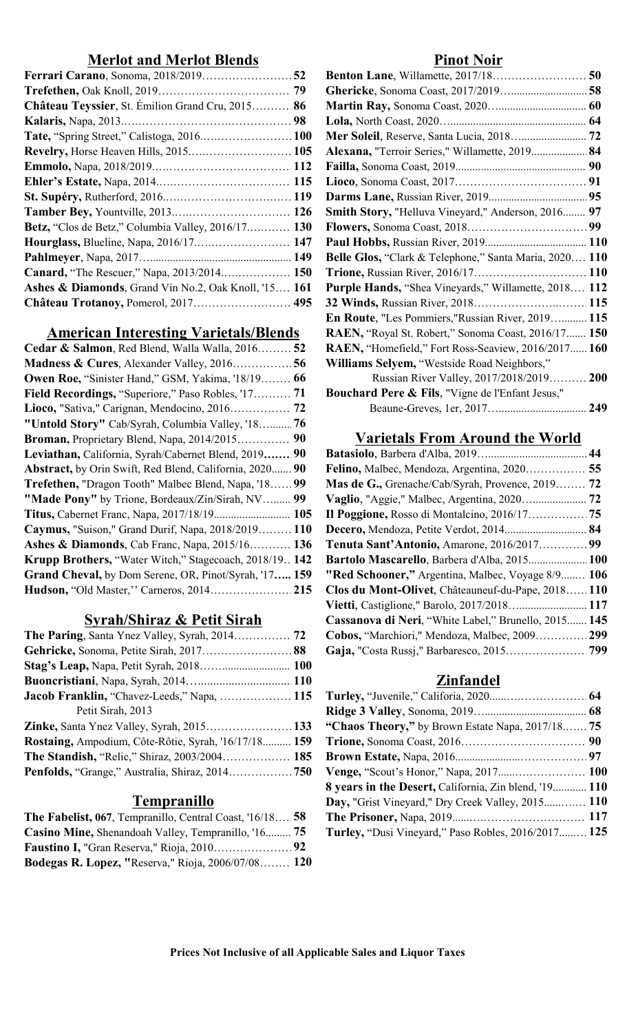# **Merlot and Merlot Blends Pinot Noir**

| Alexana, "Terroir Series," Willamette, 2019 84                    |
|-------------------------------------------------------------------|
|                                                                   |
|                                                                   |
|                                                                   |
| Smith Story, "Helluva Vineyard," Anderson, 2016 97                |
|                                                                   |
|                                                                   |
| <b>Belle Glos, "Clark &amp; Telephone," Santa Maria, 2020 110</b> |
|                                                                   |
| <b>Purple Hands, "Shea Vineyards," Willamette, 2018 112</b>       |
|                                                                   |
|                                                                   |

# American Interesting Varietals/Blends

| Cedar & Salmon, Red Blend, Walla Walla, 2016 52                | RAEN, "Homefield," Fort Ross-Seaview, 2016/2017 160         |
|----------------------------------------------------------------|-------------------------------------------------------------|
|                                                                | Williams Selyem, "Westside Road Neighbors,"                 |
| <b>Owen Roe, "Sinister Hand," GSM, Yakima, '18/19 66</b>       | Russian River Valley, 2017/2018/2019 200                    |
| Field Recordings, "Superiore," Paso Robles, '17 71             | <b>Bouchard Pere &amp; Fils, "Vigne de l'Enfant Jesus,"</b> |
|                                                                |                                                             |
| "Untold Story" Cab/Syrah, Columbia Valley, '18 76              |                                                             |
| Broman, Proprietary Blend, Napa, 2014/2015 90                  | <b>Varietals From Around the World</b>                      |
| Leviathan, California, Syrah/Cabernet Blend, 2019 90           |                                                             |
| <b>Abstract, by Orin Swift, Red Blend, California, 2020 90</b> |                                                             |
| <b>Trefethen, "Dragon Tooth" Malbec Blend, Napa, '1899</b>     | Mas de G., Grenache/Cab/Syrah, Provence, 2019 72            |
| "Made Pony" by Trione, Bordeaux/Zin/Sirah, NV 99               |                                                             |
|                                                                |                                                             |
| Caymus, "Suison," Grand Durif, Napa, 2018/2019 110             | Decero, Mendoza, Petite Verdot, 2014 84                     |
| <b>Ashes &amp; Diamonds, Cab Franc, Napa, 2015/16 136</b>      | Tenuta Sant'Antonio, Amarone, 2016/2017 99                  |
| Krupp Brothers, "Water Witch," Stagecoach, 2018/19 142         | Bartolo Mascarello, Barbera d'Alba, 2015 100                |
| Grand Cheval, by Dom Serene, OR, Pinot/Syrah, '17 159          | "Red Schooner," Argentina, Malbec, Voyage 8/9 106           |
| <b>Hudson, "Old Master," Carneros, 2014215</b>                 | Clos du Mont-Olivet, Châteauneuf-du-Pape, 2018110           |
|                                                                |                                                             |

# Syrah/Shiraz & Petit Sirah

| <b>The Paring, Santa Ynez Valley, Syrah, 2014 72 Cobos, "Marchiori," Mendoza, Malbec, 2009299</b> |                  |
|---------------------------------------------------------------------------------------------------|------------------|
|                                                                                                   |                  |
|                                                                                                   |                  |
|                                                                                                   | <b>Zinfandel</b> |
|                                                                                                   |                  |
| Petit Sirah, 2013                                                                                 |                  |
|                                                                                                   |                  |
|                                                                                                   |                  |
|                                                                                                   |                  |
| Penfolds, "Grange," Australia, Shiraz, 2014750 Venge, "Scout's Honor," Napa, 2017 100             |                  |
|                                                                                                   |                  |

# **Tempranillo**

| <b>The Fabelist, 067, Tempranillo, Central Coast, '16/18 58 The Prisoner, Napa, 2019 117</b>                   |  |
|----------------------------------------------------------------------------------------------------------------|--|
| <b>Casino Mine,</b> Shenandoah Valley, Tempranillo, '16 75 Turley, "Dusi Vineyard," Paso Robles, 2016/2017 125 |  |
|                                                                                                                |  |
| <b>Bodegas R. Lopez, "Reserva," Rioja, 2006/07/08 120</b>                                                      |  |

| Ferrari Carano, Sonoma, 2018/201952                                |                                                             |
|--------------------------------------------------------------------|-------------------------------------------------------------|
|                                                                    |                                                             |
| Château Teyssier, St. Émilion Grand Cru, 2015 86                   |                                                             |
|                                                                    |                                                             |
| Tate, "Spring Street," Calistoga, 2016 100                         | Mer Soleil, Reserve, Santa Lucia, 2018 72                   |
| <b>Revelry, Horse Heaven Hills, 2015 105</b>                       | Alexana, "Terroir Series," Willamette, 2019 84              |
|                                                                    |                                                             |
|                                                                    |                                                             |
|                                                                    |                                                             |
|                                                                    | Smith Story, "Helluva Vineyard," Anderson, 2016 97          |
| <b>Betz, "Clos de Betz," Columbia Valley, 2016/17 130</b>          |                                                             |
| <b>Hourglass, Blueline, Napa, 2016/17 147</b>                      |                                                             |
|                                                                    | Belle Glos, "Clark & Telephone," Santa Maria, 2020 110      |
| Canard, "The Rescuer," Napa, 2013/2014 150                         |                                                             |
| <b>Ashes &amp; Diamonds</b> , Grand Vin No.2, Oak Knoll, '15 $161$ | <b>Purple Hands, "Shea Vineyards," Willamette, 2018 112</b> |
| Château Trotanoy, Pomerol, 2017 495                                |                                                             |
|                                                                    | En Route, "Les Pommiers,"Russian River, 2019 115            |
| <b>American Interesting Varietals/Blends</b>                       | RAEN, "Royal St. Robert," Sonoma Coast, 2016/17 150         |
| Cedar & Salmon, Red Blend, Walla Walla, 2016 52                    | RAEN, "Homefield," Fort Ross-Seaview, 2016/2017 160         |
| Madness & Cures, Alexander Valley, 201656                          | Williams Selyem, "Westside Road Neighbors,"                 |
| Owen Roe, "Sinister Hand," GSM, Yakima, '18/19 66                  | Russian River Valley, 2017/2018/2019 200                    |
| Field Recordings, "Superiore," Paso Robles, '17 71                 | Bouchard Pere & Fils, "Vigne de l'Enfant Jesus,"            |
|                                                                    |                                                             |

## Varietals From Around the World

| Mas de G., Grenache/Cab/Syrah, Provence, 2019 72         |  |
|----------------------------------------------------------|--|
|                                                          |  |
|                                                          |  |
| Decero, Mendoza, Petite Verdot, 2014 84                  |  |
| Tenuta Sant'Antonio, Amarone, 2016/201799                |  |
| Bartolo Mascarello, Barbera d'Alba, 2015 100             |  |
| <b>"Red Schooner,"</b> Argentina, Malbec, Voyage 8/9 106 |  |
| Clos du Mont-Olivet, Châteauneuf-du-Pape, 2018110        |  |
| Vietti, Castiglione," Barolo, 2017/2018 117              |  |
| Cassanova di Neri, "White Label," Brunello, 2015 145     |  |
| Cobos, "Marchiori," Mendoza, Malbec, 2009 299            |  |
|                                                          |  |

## Zinfandel

| Jacob Franklin, "Chavez-Leeds," Napa,  115 Turley, "Juvenile," Califoria, 2020 64                       |                                                       |  |
|---------------------------------------------------------------------------------------------------------|-------------------------------------------------------|--|
| Petit Sirah, 2013                                                                                       |                                                       |  |
| <b>Zinke,</b> Santa Ynez Valley, Syrah, 2015133 <b>"Chaos Theory,"</b> by Brown Estate Napa, 2017/18 75 |                                                       |  |
|                                                                                                         |                                                       |  |
|                                                                                                         |                                                       |  |
|                                                                                                         |                                                       |  |
|                                                                                                         | 8 years in the Desert, California, Zin blend, '19 110 |  |
| <b>Tempranillo</b>                                                                                      | Day, "Grist Vineyard," Dry Creek Valley, 2015 110     |  |
| <b>The Fabelist, 067, Tempranillo, Central Coast, '16/18 58</b>                                         |                                                       |  |
| Casino Mine, Shenandoah Valley, Tempranillo, '16 75                                                     | Turley, "Dusi Vineyard," Paso Robles, 2016/2017 125   |  |
|                                                                                                         |                                                       |  |